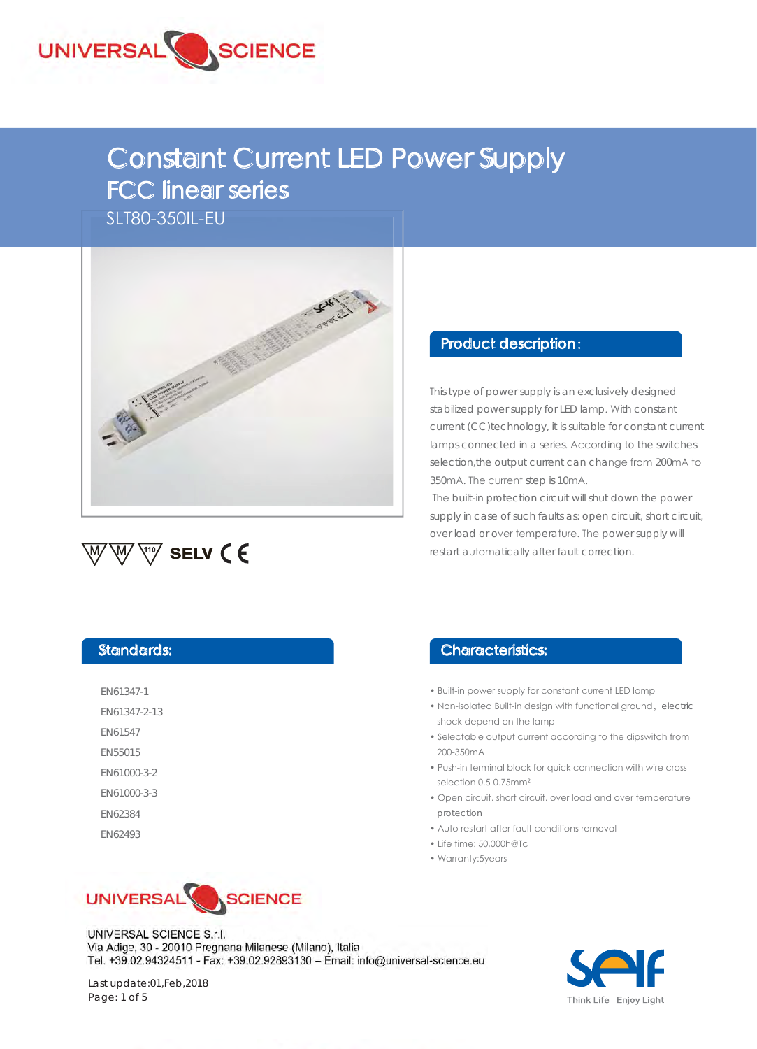

# Constant Current LED Power Supply FCC linear series

SLT80-350IL-EU





#### Product description:

This type of power supply is an exclusively designed stabilized power supply for LED lamp. With constant current (CC)technology, it is suitable for constant current lamps connected in a series. According to the switches selection, the output current can change from 200mA to 350mA. The current step is 10mA.

 The built-in protection circuit will shut down the power supply in case of such faults as: open circuit, short circuit, over load or over temperature. The power supply will restart automatically after fault correction.

#### Standards:

| FN61347-1      |
|----------------|
| FN61347-2-13   |
| <b>EN61547</b> |
| <b>EN55015</b> |

EN61000-3-2

- EN61000-3-3
- EN62384

EN62493



# Characteristics:

- Built-in power supply for constant current LED lamp
- Non-isolated Built-in design with functional ground, electric shock depend on the lamp
- Selectable output current according to the dipswitch from 200-350mA
- Push-in terminal block for quick connection with wire cross selection 0.5-0.75mm<sup>2</sup>
- Open circuit, short circuit, over load and over temperature protection
- Auto restart after fault conditions removal
- Life time: 50,000h@Tc
- Warranty:5years

UNIVERSAL SCIENCE S.r.l. Via Adige, 30 - 20010 Pregnana Milanese (Milano), Italia Tel. +39.02.94324511 - Fax: +39.02.92893130 - Email: info@universal-science.eu



Last update:01,Feb,2018 Page: 1 of 5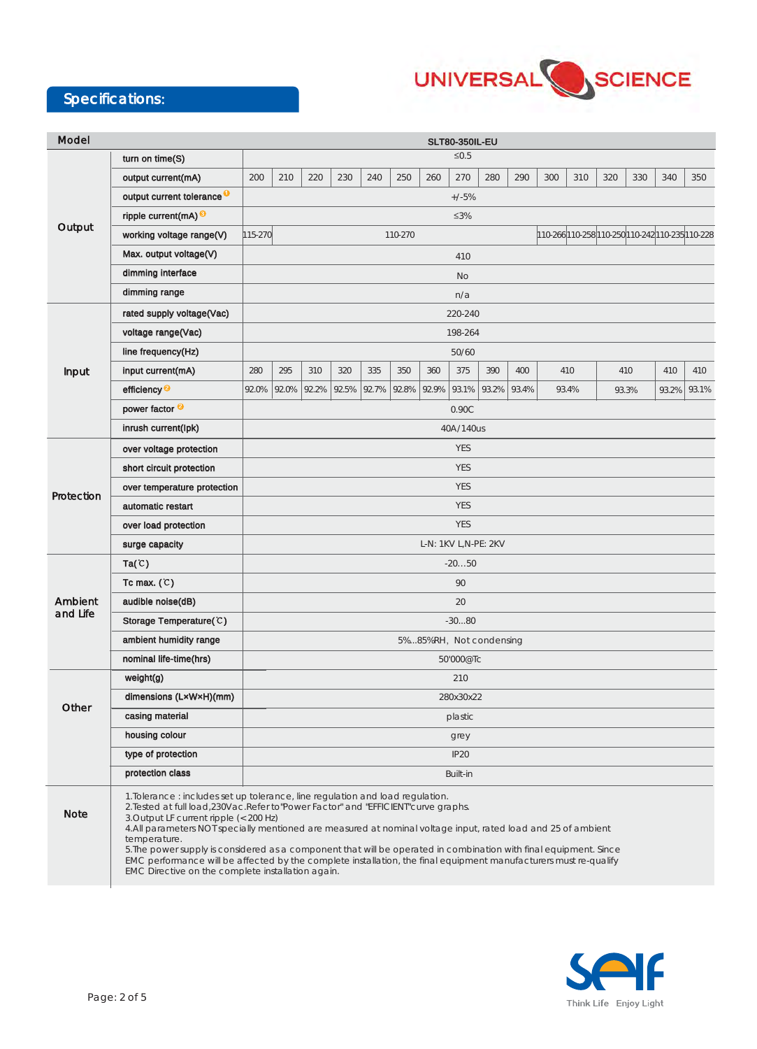### Specifications:



| Model               |                                                                                                                                                                                                                                                                                                                                                                                                                                                                                                                                                                                                                                                 | <b>SLT80-350IL-EU</b>   |       |       |       |       |       |       |                  |                                                 |       |       |     |       |     |       |       |
|---------------------|-------------------------------------------------------------------------------------------------------------------------------------------------------------------------------------------------------------------------------------------------------------------------------------------------------------------------------------------------------------------------------------------------------------------------------------------------------------------------------------------------------------------------------------------------------------------------------------------------------------------------------------------------|-------------------------|-------|-------|-------|-------|-------|-------|------------------|-------------------------------------------------|-------|-------|-----|-------|-----|-------|-------|
|                     | turn on time $(S)$                                                                                                                                                                                                                                                                                                                                                                                                                                                                                                                                                                                                                              | $\leq 0.5$              |       |       |       |       |       |       |                  |                                                 |       |       |     |       |     |       |       |
| Output              | output current(mA)                                                                                                                                                                                                                                                                                                                                                                                                                                                                                                                                                                                                                              | 200                     | 210   | 220   | 230   | 240   | 250   | 260   | 270              | 280                                             | 290   | 300   | 310 | 320   | 330 | 340   | 350   |
|                     | output current tolerance <sup>0</sup>                                                                                                                                                                                                                                                                                                                                                                                                                                                                                                                                                                                                           | $+/-5%$                 |       |       |       |       |       |       |                  |                                                 |       |       |     |       |     |       |       |
|                     | ripple current(mA) <sup>9</sup>                                                                                                                                                                                                                                                                                                                                                                                                                                                                                                                                                                                                                 | $\leq 3\%$              |       |       |       |       |       |       |                  |                                                 |       |       |     |       |     |       |       |
|                     | working voltage range(V)                                                                                                                                                                                                                                                                                                                                                                                                                                                                                                                                                                                                                        | 115-270<br>110-270      |       |       |       |       |       |       |                  | 110-266 110-258 110-250 110-242 110-235 110-228 |       |       |     |       |     |       |       |
|                     | Max. output voltage(V)                                                                                                                                                                                                                                                                                                                                                                                                                                                                                                                                                                                                                          | 410                     |       |       |       |       |       |       |                  |                                                 |       |       |     |       |     |       |       |
|                     | dimming interface                                                                                                                                                                                                                                                                                                                                                                                                                                                                                                                                                                                                                               | No                      |       |       |       |       |       |       |                  |                                                 |       |       |     |       |     |       |       |
|                     | dimming range                                                                                                                                                                                                                                                                                                                                                                                                                                                                                                                                                                                                                                   | n/a                     |       |       |       |       |       |       |                  |                                                 |       |       |     |       |     |       |       |
| Input               | rated supply voltage(Vac)                                                                                                                                                                                                                                                                                                                                                                                                                                                                                                                                                                                                                       |                         |       |       |       |       |       |       | 220-240          |                                                 |       |       |     |       |     |       |       |
|                     | voltage range(Vac)                                                                                                                                                                                                                                                                                                                                                                                                                                                                                                                                                                                                                              |                         |       |       |       |       |       |       | 198-264          |                                                 |       |       |     |       |     |       |       |
|                     | line frequency(Hz)                                                                                                                                                                                                                                                                                                                                                                                                                                                                                                                                                                                                                              | 50/60                   |       |       |       |       |       |       |                  |                                                 |       |       |     |       |     |       |       |
|                     | input current(mA)                                                                                                                                                                                                                                                                                                                                                                                                                                                                                                                                                                                                                               | 280                     | 295   | 310   | 320   | 335   | 350   | 360   | 375              | 390                                             | 400   | 410   |     | 410   |     | 410   | 410   |
|                     | efficiency <sup>2</sup>                                                                                                                                                                                                                                                                                                                                                                                                                                                                                                                                                                                                                         | 92.0%                   | 92.0% | 92.2% | 92.5% | 92.7% | 92.8% | 92.9% | 93.1%            | 93.2%                                           | 93.4% | 93.4% |     | 93.3% |     | 93.2% | 93.1% |
|                     | power factor <sup>@</sup>                                                                                                                                                                                                                                                                                                                                                                                                                                                                                                                                                                                                                       |                         |       |       |       |       |       |       | 0.90C            |                                                 |       |       |     |       |     |       |       |
|                     | inrush current(lpk)                                                                                                                                                                                                                                                                                                                                                                                                                                                                                                                                                                                                                             | 40A/140us               |       |       |       |       |       |       |                  |                                                 |       |       |     |       |     |       |       |
| Protection          | over voltage protection                                                                                                                                                                                                                                                                                                                                                                                                                                                                                                                                                                                                                         |                         |       |       |       |       |       |       | <b>YES</b>       |                                                 |       |       |     |       |     |       |       |
|                     | short circuit protection                                                                                                                                                                                                                                                                                                                                                                                                                                                                                                                                                                                                                        |                         |       |       |       |       |       |       | <b>YES</b>       |                                                 |       |       |     |       |     |       |       |
|                     | over temperature protection                                                                                                                                                                                                                                                                                                                                                                                                                                                                                                                                                                                                                     |                         |       |       |       |       |       |       | <b>YES</b>       |                                                 |       |       |     |       |     |       |       |
|                     | automatic restart                                                                                                                                                                                                                                                                                                                                                                                                                                                                                                                                                                                                                               | <b>YES</b>              |       |       |       |       |       |       |                  |                                                 |       |       |     |       |     |       |       |
|                     | over load protection                                                                                                                                                                                                                                                                                                                                                                                                                                                                                                                                                                                                                            | <b>YES</b>              |       |       |       |       |       |       |                  |                                                 |       |       |     |       |     |       |       |
|                     | surge capacity                                                                                                                                                                                                                                                                                                                                                                                                                                                                                                                                                                                                                                  | L-N: 1KV L,N-PE: 2KV    |       |       |       |       |       |       |                  |                                                 |       |       |     |       |     |       |       |
| Ambient<br>and Life | Ta(C)                                                                                                                                                                                                                                                                                                                                                                                                                                                                                                                                                                                                                                           | $-2050$                 |       |       |       |       |       |       |                  |                                                 |       |       |     |       |     |       |       |
|                     | Tc max. $(C)$                                                                                                                                                                                                                                                                                                                                                                                                                                                                                                                                                                                                                                   | 90                      |       |       |       |       |       |       |                  |                                                 |       |       |     |       |     |       |       |
|                     | audible noise(dB)                                                                                                                                                                                                                                                                                                                                                                                                                                                                                                                                                                                                                               | 20                      |       |       |       |       |       |       |                  |                                                 |       |       |     |       |     |       |       |
|                     | Storage Temperature(C)                                                                                                                                                                                                                                                                                                                                                                                                                                                                                                                                                                                                                          | $-3080$                 |       |       |       |       |       |       |                  |                                                 |       |       |     |       |     |       |       |
|                     | ambient humidity range                                                                                                                                                                                                                                                                                                                                                                                                                                                                                                                                                                                                                          | 5%85%RH, Not condensing |       |       |       |       |       |       |                  |                                                 |       |       |     |       |     |       |       |
|                     | nominal life-time(hrs)                                                                                                                                                                                                                                                                                                                                                                                                                                                                                                                                                                                                                          | 50'000@Tc               |       |       |       |       |       |       |                  |                                                 |       |       |     |       |     |       |       |
| Other               | weight(g)                                                                                                                                                                                                                                                                                                                                                                                                                                                                                                                                                                                                                                       | 210                     |       |       |       |       |       |       |                  |                                                 |       |       |     |       |     |       |       |
|                     | dimensions (LxWxH)(mm)                                                                                                                                                                                                                                                                                                                                                                                                                                                                                                                                                                                                                          | 280x30x22               |       |       |       |       |       |       |                  |                                                 |       |       |     |       |     |       |       |
|                     | casing material                                                                                                                                                                                                                                                                                                                                                                                                                                                                                                                                                                                                                                 |                         |       |       |       |       |       |       | plastic          |                                                 |       |       |     |       |     |       |       |
|                     | housing colour                                                                                                                                                                                                                                                                                                                                                                                                                                                                                                                                                                                                                                  |                         |       |       |       |       |       |       | grey             |                                                 |       |       |     |       |     |       |       |
|                     | type of protection                                                                                                                                                                                                                                                                                                                                                                                                                                                                                                                                                                                                                              |                         |       |       |       |       |       |       | IP <sub>20</sub> |                                                 |       |       |     |       |     |       |       |
|                     | protection class                                                                                                                                                                                                                                                                                                                                                                                                                                                                                                                                                                                                                                | Built-in                |       |       |       |       |       |       |                  |                                                 |       |       |     |       |     |       |       |
| <b>Note</b>         | 1. Tolerance : includes set up tolerance, line regulation and load regulation.<br>2. Tested at full load, 230Vac. Refer to "Power Factor" and "EFFICIENT" curve graphs.<br>3. Output LF current ripple (< 200 Hz)<br>4.All parameters NOT specially mentioned are measured at nominal voltage input, rated load and 25 of ambient<br>temperature.<br>5. The power supply is considered as a component that will be operated in combination with final equipment. Since<br>EMC performance will be affected by the complete installation, the final equipment manufacturers must re-qualify<br>EMC Directive on the complete installation again. |                         |       |       |       |       |       |       |                  |                                                 |       |       |     |       |     |       |       |

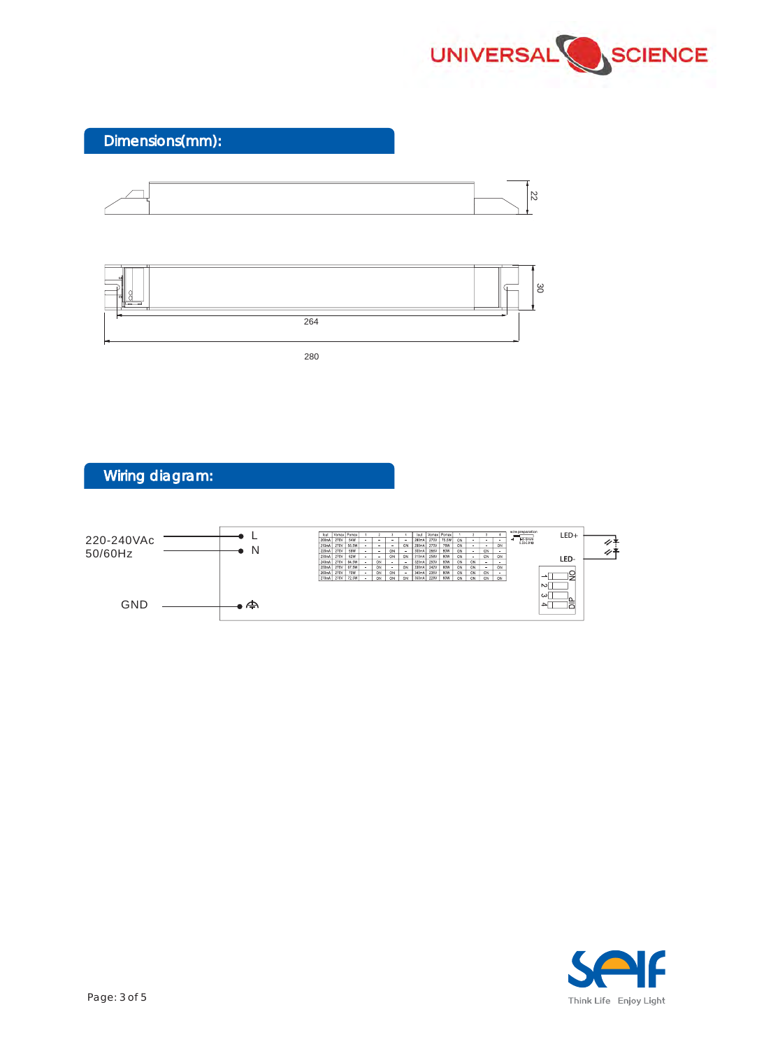

Dimensions(mm):





280



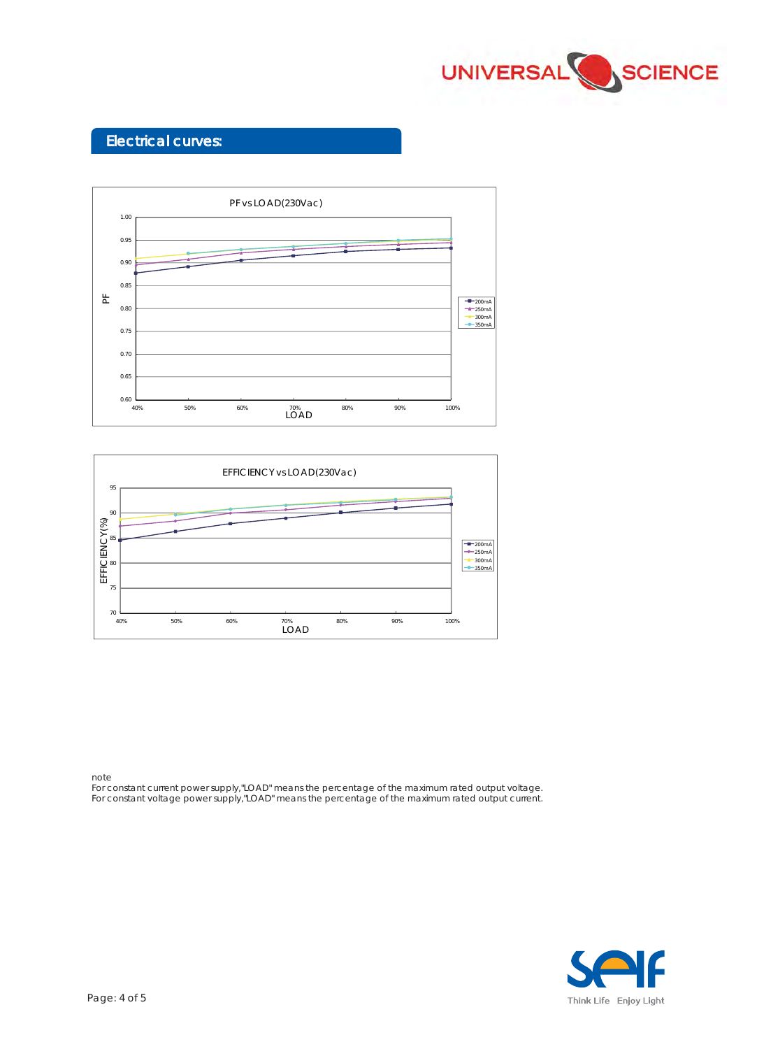

#### Electrical curves:





note

For constant current power supply,"LOAD" means the percentage of the maximum rated output voltage. For constant voltage power supply,"LOAD" means the percentage of the maximum rated output current.